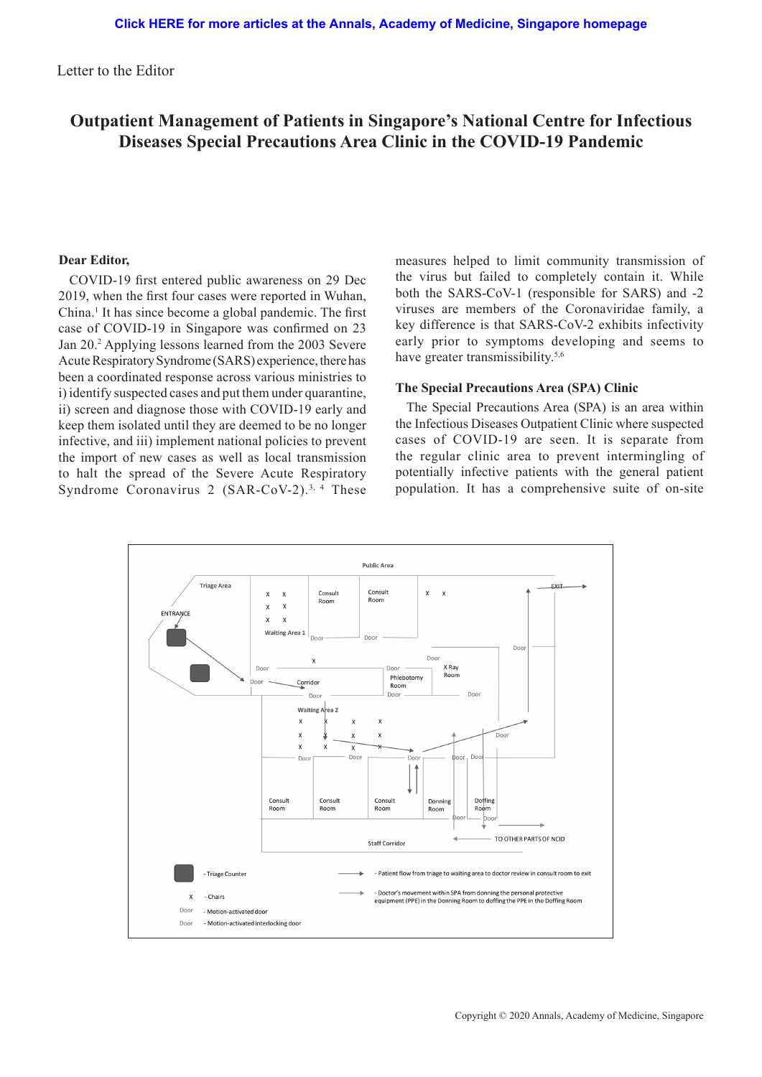Letter to the Editor

# **Outpatient Management of Patients in Singapore's National Centre for Infectious Diseases Special Precautions Area Clinic in the COVID-19 Pandemic**

# **Dear Editor,**

COVID-19 first entered public awareness on 29 Dec 2019, when the first four cases were reported in Wuhan, China.<sup>1</sup> It has since become a global pandemic. The first case of COVID-19 in Singapore was confirmed on 23 Jan 20.<sup>2</sup> Applying lessons learned from the 2003 Severe Acute Respiratory Syndrome (SARS) experience, there has been a coordinated response across various ministries to i) identify suspected cases and put them under quarantine, ii) screen and diagnose those with COVID-19 early and keep them isolated until they are deemed to be no longer infective, and iii) implement national policies to prevent the import of new cases as well as local transmission to halt the spread of the Severe Acute Respiratory Syndrome Coronavirus 2  $(SAR-CoV-2).$ <sup>3, 4</sup> These

measures helped to limit community transmission of the virus but failed to completely contain it. While both the SARS-CoV-1 (responsible for SARS) and -2 viruses are members of the Coronaviridae family, a key difference is that SARS-CoV-2 exhibits infectivity early prior to symptoms developing and seems to have greater transmissibility.<sup>5,6</sup>

# **The Special Precautions Area (SPA) Clinic**

The Special Precautions Area (SPA) is an area within the Infectious Diseases Outpatient Clinic where suspected cases of COVID-19 are seen. It is separate from the regular clinic area to prevent intermingling of potentially infective patients with the general patient population. It has a comprehensive suite of on-site

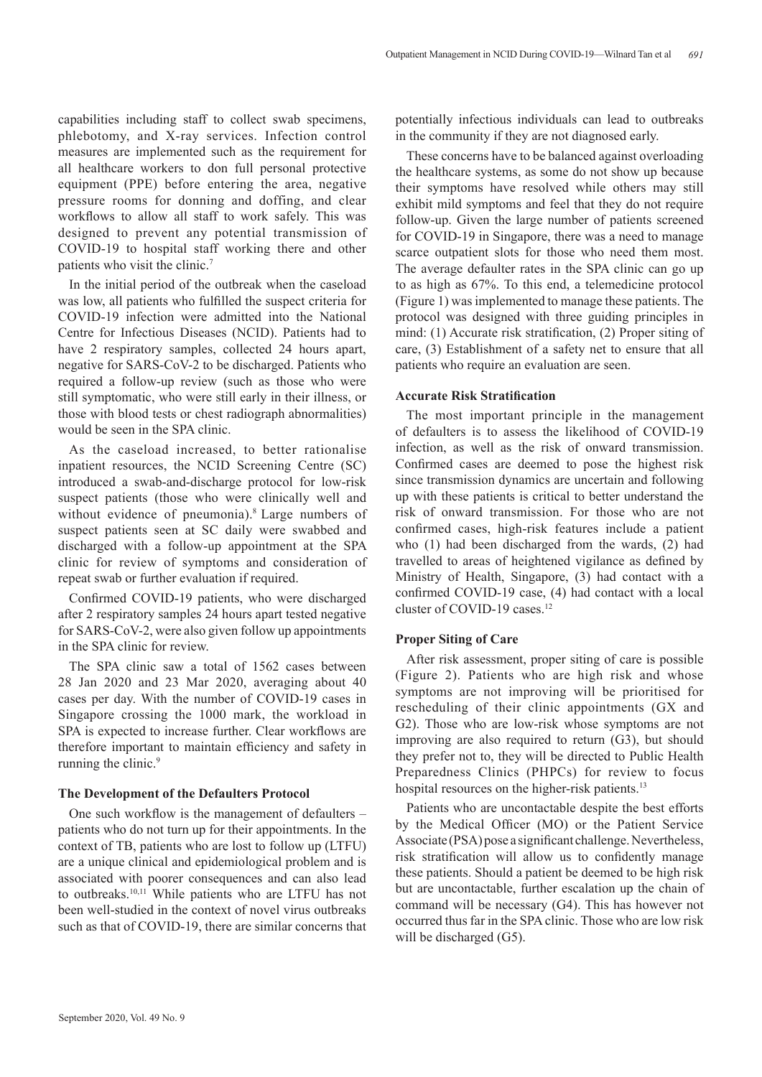capabilities including staff to collect swab specimens, phlebotomy, and X-ray services. Infection control measures are implemented such as the requirement for all healthcare workers to don full personal protective equipment (PPE) before entering the area, negative pressure rooms for donning and doffing, and clear workflows to allow all staff to work safely. This was designed to prevent any potential transmission of COVID-19 to hospital staff working there and other patients who visit the clinic.<sup>7</sup>

In the initial period of the outbreak when the caseload was low, all patients who fulfilled the suspect criteria for COVID-19 infection were admitted into the National Centre for Infectious Diseases (NCID). Patients had to have 2 respiratory samples, collected 24 hours apart, negative for SARS-CoV-2 to be discharged. Patients who required a follow-up review (such as those who were still symptomatic, who were still early in their illness, or those with blood tests or chest radiograph abnormalities) would be seen in the SPA clinic.

As the caseload increased, to better rationalise inpatient resources, the NCID Screening Centre (SC) introduced a swab-and-discharge protocol for low-risk suspect patients (those who were clinically well and without evidence of pneumonia).<sup>8</sup> Large numbers of suspect patients seen at SC daily were swabbed and discharged with a follow-up appointment at the SPA clinic for review of symptoms and consideration of repeat swab or further evaluation if required.

Confirmed COVID-19 patients, who were discharged after 2 respiratory samples 24 hours apart tested negative for SARS-CoV-2, were also given follow up appointments in the SPA clinic for review.

The SPA clinic saw a total of 1562 cases between 28 Jan 2020 and 23 Mar 2020, averaging about 40 cases per day. With the number of COVID-19 cases in Singapore crossing the 1000 mark, the workload in SPA is expected to increase further. Clear workflows are therefore important to maintain efficiency and safety in running the clinic.<sup>9</sup>

# **The Development of the Defaulters Protocol**

One such workflow is the management of defaulters – patients who do not turn up for their appointments. In the context of TB, patients who are lost to follow up (LTFU) are a unique clinical and epidemiological problem and is associated with poorer consequences and can also lead to outbreaks.10,11 While patients who are LTFU has not been well-studied in the context of novel virus outbreaks such as that of COVID-19, there are similar concerns that

potentially infectious individuals can lead to outbreaks in the community if they are not diagnosed early.

These concerns have to be balanced against overloading the healthcare systems, as some do not show up because their symptoms have resolved while others may still exhibit mild symptoms and feel that they do not require follow-up. Given the large number of patients screened for COVID-19 in Singapore, there was a need to manage scarce outpatient slots for those who need them most. The average defaulter rates in the SPA clinic can go up to as high as 67%. To this end, a telemedicine protocol (Figure 1) was implemented to manage these patients. The protocol was designed with three guiding principles in mind: (1) Accurate risk stratification, (2) Proper siting of care, (3) Establishment of a safety net to ensure that all patients who require an evaluation are seen.

#### **Accurate Risk Stratification**

The most important principle in the management of defaulters is to assess the likelihood of COVID-19 infection, as well as the risk of onward transmission. Confirmed cases are deemed to pose the highest risk since transmission dynamics are uncertain and following up with these patients is critical to better understand the risk of onward transmission. For those who are not confirmed cases, high-risk features include a patient who (1) had been discharged from the wards, (2) had travelled to areas of heightened vigilance as defined by Ministry of Health, Singapore, (3) had contact with a confirmed COVID-19 case, (4) had contact with a local cluster of COVID-19 cases.<sup>12</sup>

# **Proper Siting of Care**

After risk assessment, proper siting of care is possible (Figure 2). Patients who are high risk and whose symptoms are not improving will be prioritised for rescheduling of their clinic appointments (GX and G2). Those who are low-risk whose symptoms are not improving are also required to return (G3), but should they prefer not to, they will be directed to Public Health Preparedness Clinics (PHPCs) for review to focus hospital resources on the higher-risk patients.<sup>13</sup>

Patients who are uncontactable despite the best efforts by the Medical Officer (MO) or the Patient Service Associate (PSA) pose a significant challenge. Nevertheless, risk stratification will allow us to confidently manage these patients. Should a patient be deemed to be high risk but are uncontactable, further escalation up the chain of command will be necessary (G4). This has however not occurred thus far in the SPA clinic. Those who are low risk will be discharged (G5).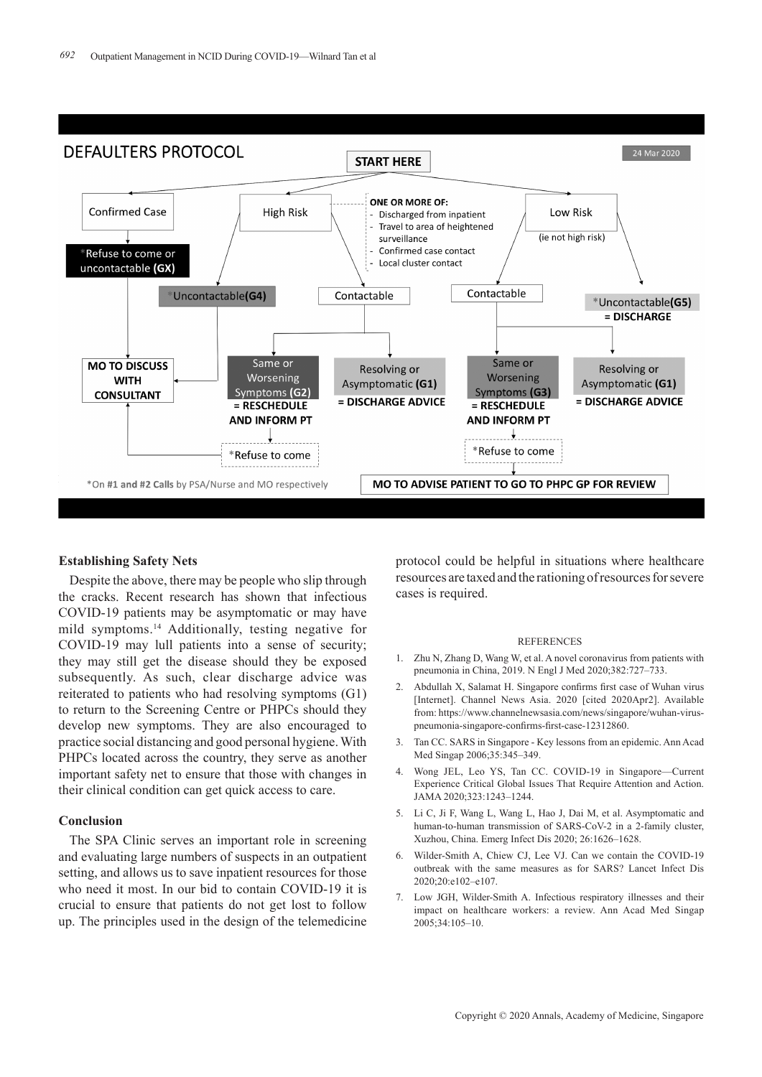

# **Establishing Safety Nets**

Despite the above, there may be people who slip through the cracks. Recent research has shown that infectious COVID-19 patients may be asymptomatic or may have mild symptoms.14 Additionally, testing negative for COVID-19 may lull patients into a sense of security; they may still get the disease should they be exposed subsequently. As such, clear discharge advice was reiterated to patients who had resolving symptoms (G1) to return to the Screening Centre or PHPCs should they develop new symptoms. They are also encouraged to practice social distancing and good personal hygiene. With PHPCs located across the country, they serve as another important safety net to ensure that those with changes in their clinical condition can get quick access to care.

### **Conclusion**

The SPA Clinic serves an important role in screening and evaluating large numbers of suspects in an outpatient setting, and allows us to save inpatient resources for those who need it most. In our bid to contain COVID-19 it is crucial to ensure that patients do not get lost to follow up. The principles used in the design of the telemedicine

protocol could be helpful in situations where healthcare resources are taxed and the rationing of resources for severe cases is required.

#### **REFERENCES**

- 1. Zhu N, Zhang D, Wang W, et al. A novel coronavirus from patients with pneumonia in China, 2019. N Engl J Med 2020;382:727–733.
- 2. Abdullah X, Salamat H. Singapore confirms first case of Wuhan virus [Internet]. Channel News Asia. 2020 [cited 2020Apr2]. Available from: https://www.channelnewsasia.com/news/singapore/wuhan-viruspneumonia-singapore-confirms-first-case-12312860.
- 3. Tan CC. SARS in Singapore Key lessons from an epidemic. Ann Acad Med Singap 2006;35:345–349.
- 4. Wong JEL, Leo YS, Tan CC. COVID-19 in Singapore—Current Experience Critical Global Issues That Require Attention and Action. JAMA 2020;323:1243–1244.
- 5. Li C, Ji F, Wang L, Wang L, Hao J, Dai M, et al. Asymptomatic and human-to-human transmission of SARS-CoV-2 in a 2-family cluster, Xuzhou, China. Emerg Infect Dis 2020; 26:1626–1628.
- 6. Wilder-Smith A, Chiew CJ, Lee VJ. Can we contain the COVID-19 outbreak with the same measures as for SARS? Lancet Infect Dis 2020;20:e102–e107.
- 7. Low JGH, Wilder-Smith A. Infectious respiratory illnesses and their impact on healthcare workers: a review. Ann Acad Med Singap 2005;34:105–10.